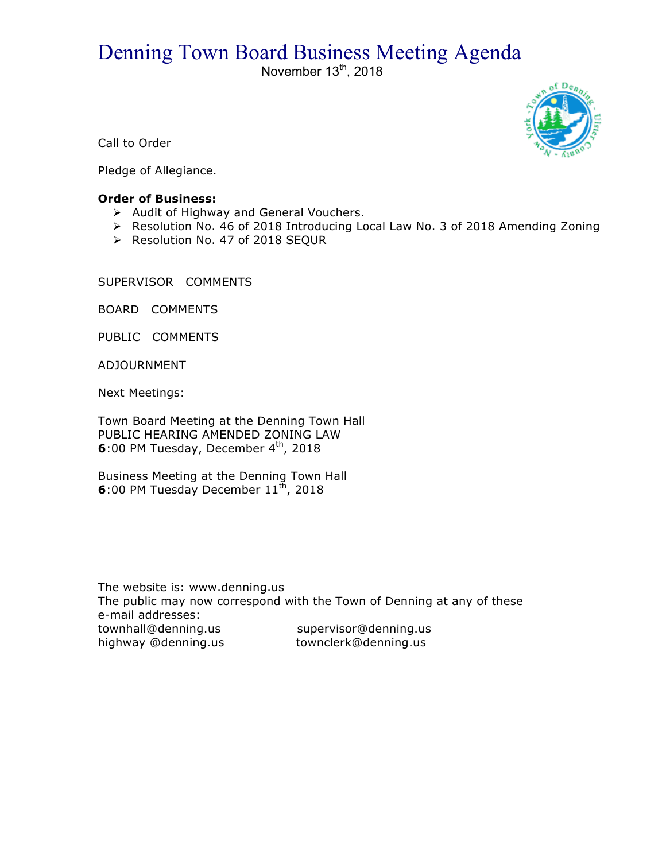# Denning Town Board Business Meeting Agenda

November  $13<sup>th</sup>$ , 2018



Call to Order

Pledge of Allegiance.

## **Order of Business:**

- $\triangleright$  Audit of Highway and General Vouchers.
- ! Resolution No. 46 of 2018 Introducing Local Law No. 3 of 2018 Amending Zoning
- > Resolution No. 47 of 2018 SEQUR

SUPERVISOR COMMENTS

BOARD COMMENTS

PUBLIC COMMENTS

ADJOURNMENT

Next Meetings:

Town Board Meeting at the Denning Town Hall PUBLIC HEARING AMENDED ZONING LAW **6**:00 PM Tuesday, December 4<sup>th</sup>, 2018

Business Meeting at the Denning Town Hall **6**:00 PM Tuesday December 11<sup>th</sup>, 2018

The website is: www.denning.us The public may now correspond with the Town of Denning at any of these e-mail addresses: townhall@denning.us supervisor@denning.us highway @denning.us townclerk@denning.us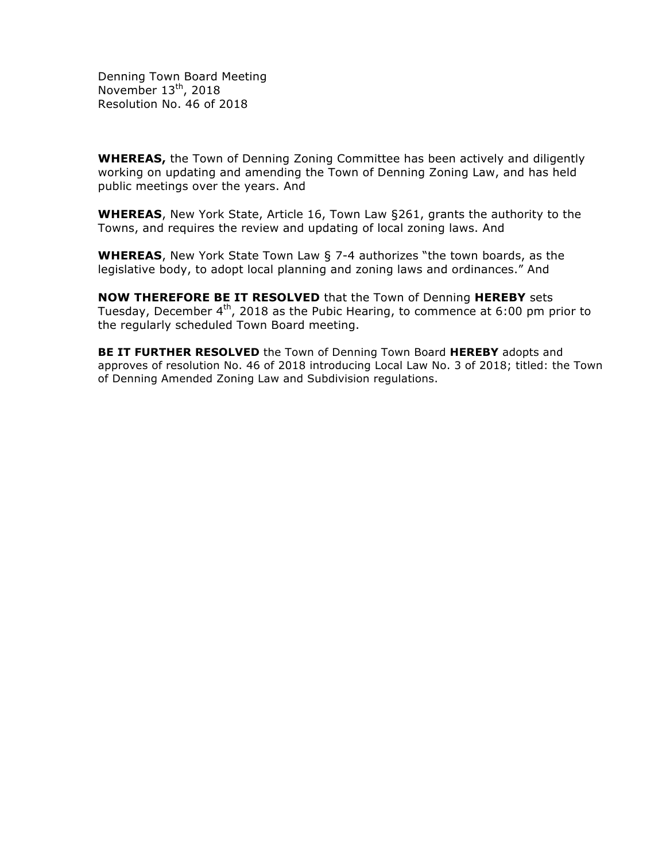Denning Town Board Meeting November 13<sup>th</sup>, 2018 Resolution No. 46 of 2018

**WHEREAS,** the Town of Denning Zoning Committee has been actively and diligently working on updating and amending the Town of Denning Zoning Law, and has held public meetings over the years. And

**WHEREAS**, New York State, Article 16, Town Law §261, grants the authority to the Towns, and requires the review and updating of local zoning laws. And

**WHEREAS**, New York State Town Law § 7-4 authorizes "the town boards, as the legislative body, to adopt local planning and zoning laws and ordinances." And

**NOW THEREFORE BE IT RESOLVED** that the Town of Denning **HEREBY** sets Tuesday, December  $4<sup>th</sup>$ , 2018 as the Pubic Hearing, to commence at 6:00 pm prior to the regularly scheduled Town Board meeting.

**BE IT FURTHER RESOLVED** the Town of Denning Town Board **HEREBY** adopts and approves of resolution No. 46 of 2018 introducing Local Law No. 3 of 2018; titled: the Town of Denning Amended Zoning Law and Subdivision regulations.